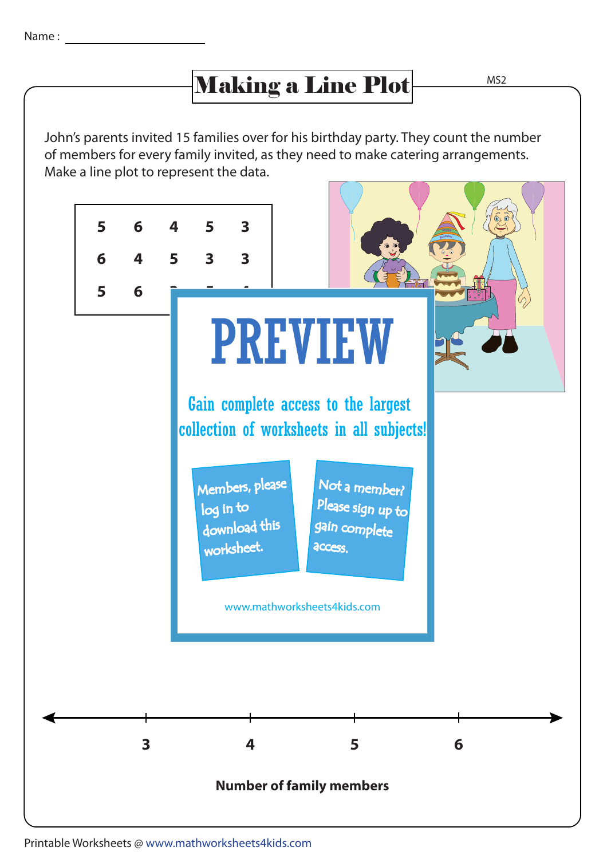## Making a Line Plot MS2

John's parents invited 15 families over for his birthday party. They count the number of members for every family invited, as they need to make catering arrangements. Make a line plot to represent the data.